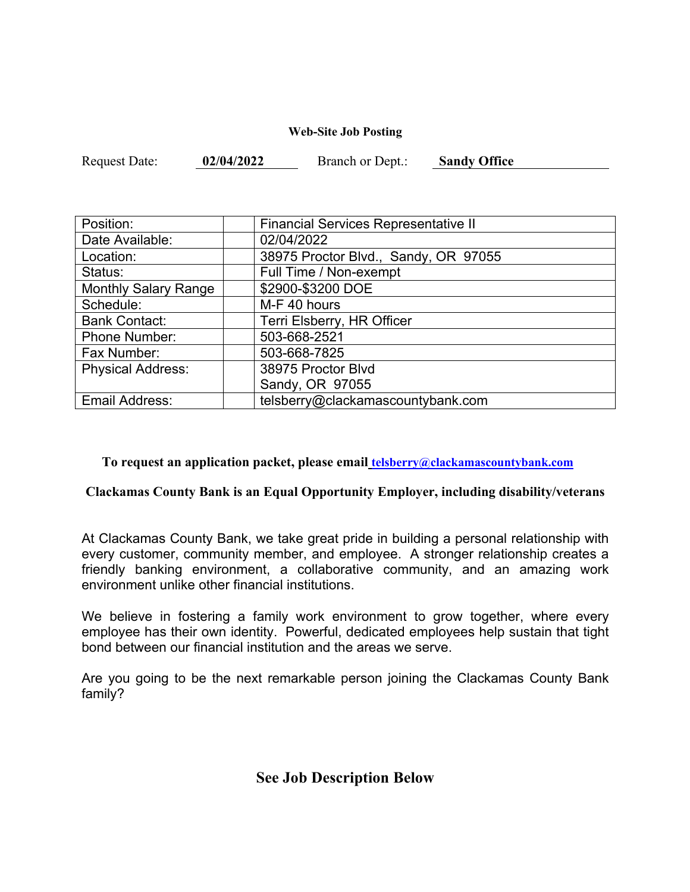#### **Web-Site Job Posting**

Request Date: **02/04/2022** Branch or Dept.: **Sandy Office**

| Position:                   | <b>Financial Services Representative II</b> |
|-----------------------------|---------------------------------------------|
| Date Available:             | 02/04/2022                                  |
| Location:                   | 38975 Proctor Blvd., Sandy, OR 97055        |
| Status:                     | Full Time / Non-exempt                      |
| <b>Monthly Salary Range</b> | \$2900-\$3200 DOE                           |
| Schedule:                   | M-F 40 hours                                |
| <b>Bank Contact:</b>        | Terri Elsberry, HR Officer                  |
| <b>Phone Number:</b>        | 503-668-2521                                |
| Fax Number:                 | 503-668-7825                                |
| <b>Physical Address:</b>    | 38975 Proctor Blvd                          |
|                             | Sandy, OR 97055                             |
| Email Address:              | telsberry@clackamascountybank.com           |

### **To request an application packet, please email telsberry@clackamascountybank.com**

### **Clackamas County Bank is an Equal Opportunity Employer, including disability/veterans**

At Clackamas County Bank, we take great pride in building a personal relationship with every customer, community member, and employee. A stronger relationship creates a friendly banking environment, a collaborative community, and an amazing work environment unlike other financial institutions.

We believe in fostering a family work environment to grow together, where every employee has their own identity. Powerful, dedicated employees help sustain that tight bond between our financial institution and the areas we serve.

Are you going to be the next remarkable person joining the Clackamas County Bank family?

# **See Job Description Below**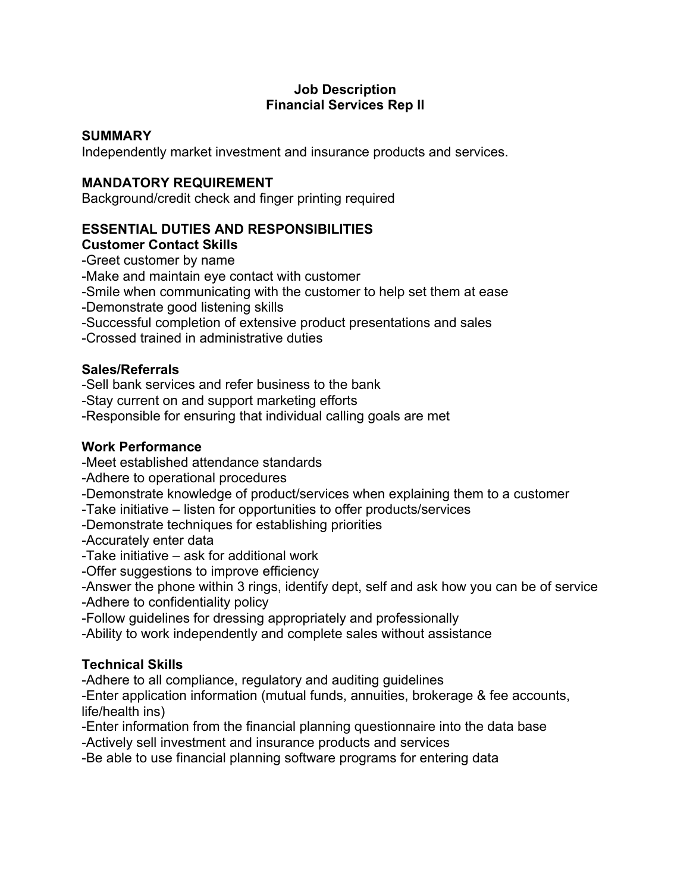### **Job Description Financial Services Rep ll**

#### **SUMMARY**

Independently market investment and insurance products and services.

### **MANDATORY REQUIREMENT**

Background/credit check and finger printing required

## **ESSENTIAL DUTIES AND RESPONSIBILITIES**

### **Customer Contact Skills**

- -Greet customer by name
- -Make and maintain eye contact with customer
- -Smile when communicating with the customer to help set them at ease
- -Demonstrate good listening skills
- -Successful completion of extensive product presentations and sales
- -Crossed trained in administrative duties

#### **Sales/Referrals**

- -Sell bank services and refer business to the bank
- -Stay current on and support marketing efforts
- -Responsible for ensuring that individual calling goals are met

#### **Work Performance**

- -Meet established attendance standards
- -Adhere to operational procedures
- -Demonstrate knowledge of product/services when explaining them to a customer
- -Take initiative listen for opportunities to offer products/services
- -Demonstrate techniques for establishing priorities
- -Accurately enter data
- -Take initiative ask for additional work
- -Offer suggestions to improve efficiency
- -Answer the phone within 3 rings, identify dept, self and ask how you can be of service -Adhere to confidentiality policy
- -Follow guidelines for dressing appropriately and professionally
- -Ability to work independently and complete sales without assistance

### **Technical Skills**

-Adhere to all compliance, regulatory and auditing guidelines

-Enter application information (mutual funds, annuities, brokerage & fee accounts, life/health ins)

-Enter information from the financial planning questionnaire into the data base -Actively sell investment and insurance products and services

-Be able to use financial planning software programs for entering data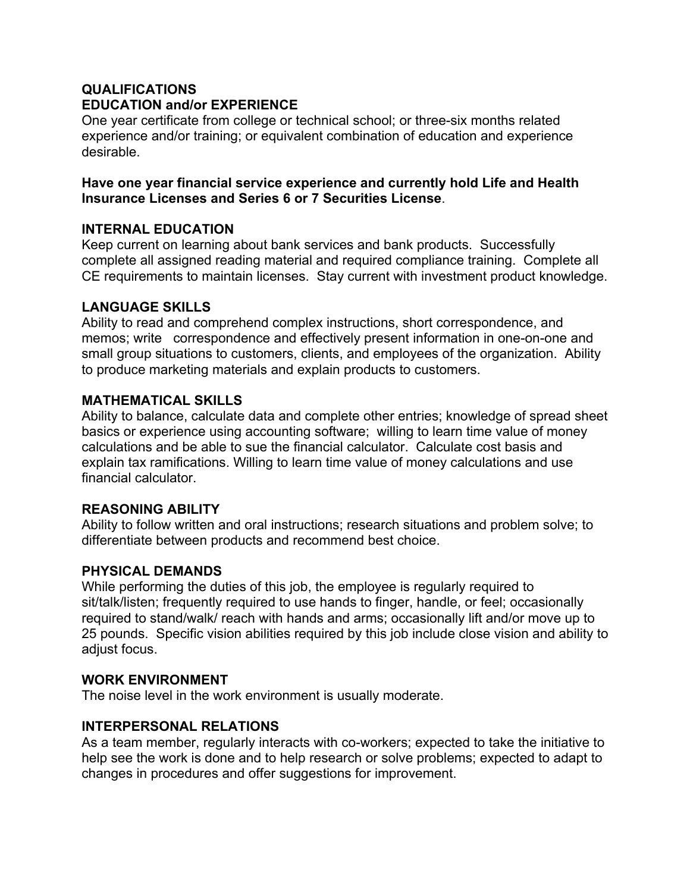## **QUALIFICATIONS EDUCATION and/or EXPERIENCE**

One year certificate from college or technical school; or three-six months related experience and/or training; or equivalent combination of education and experience desirable.

### **Have one year financial service experience and currently hold Life and Health Insurance Licenses and Series 6 or 7 Securities License**.

# **INTERNAL EDUCATION**

Keep current on learning about bank services and bank products. Successfully complete all assigned reading material and required compliance training. Complete all CE requirements to maintain licenses. Stay current with investment product knowledge.

# **LANGUAGE SKILLS**

Ability to read and comprehend complex instructions, short correspondence, and memos; write correspondence and effectively present information in one-on-one and small group situations to customers, clients, and employees of the organization. Ability to produce marketing materials and explain products to customers.

## **MATHEMATICAL SKILLS**

Ability to balance, calculate data and complete other entries; knowledge of spread sheet basics or experience using accounting software; willing to learn time value of money calculations and be able to sue the financial calculator. Calculate cost basis and explain tax ramifications. Willing to learn time value of money calculations and use financial calculator.

# **REASONING ABILITY**

Ability to follow written and oral instructions; research situations and problem solve; to differentiate between products and recommend best choice.

# **PHYSICAL DEMANDS**

While performing the duties of this job, the employee is regularly required to sit/talk/listen; frequently required to use hands to finger, handle, or feel; occasionally required to stand/walk/ reach with hands and arms; occasionally lift and/or move up to 25 pounds. Specific vision abilities required by this job include close vision and ability to adjust focus.

### **WORK ENVIRONMENT**

The noise level in the work environment is usually moderate.

# **INTERPERSONAL RELATIONS**

As a team member, regularly interacts with co-workers; expected to take the initiative to help see the work is done and to help research or solve problems; expected to adapt to changes in procedures and offer suggestions for improvement.